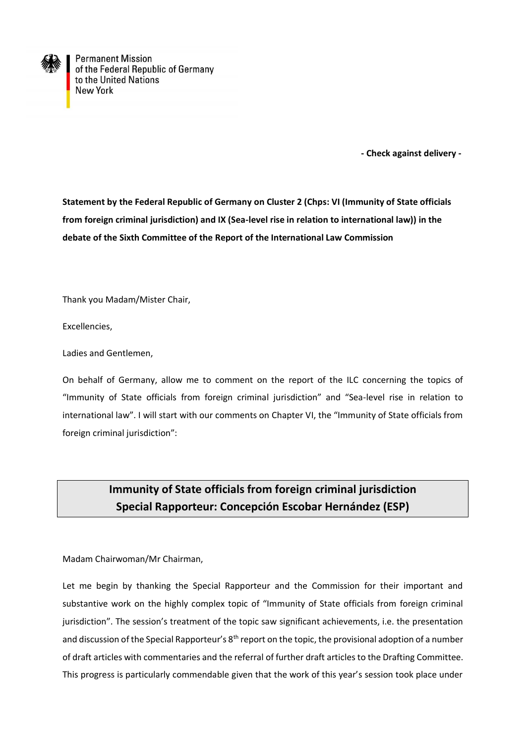

**Permanent Mission** of the Federal Republic of Germany to the United Nations **New York** 

 **- Check against delivery -**

**Statement by the Federal Republic of Germany on Cluster 2 (Chps: VI (Immunity of State officials from foreign criminal jurisdiction) and IX (Sea-level rise in relation to international law)) in the debate of the Sixth Committee of the Report of the International Law Commission**

Thank you Madam/Mister Chair,

Excellencies,

Ladies and Gentlemen,

On behalf of Germany, allow me to comment on the report of the ILC concerning the topics of "Immunity of State officials from foreign criminal jurisdiction" and "Sea-level rise in relation to international law". I will start with our comments on Chapter VI, the "Immunity of State officials from foreign criminal jurisdiction":

## **Immunity of State officials from foreign criminal jurisdiction Special Rapporteur: Concepción Escobar Hernández (ESP)**

Madam Chairwoman/Mr Chairman,

Let me begin by thanking the Special Rapporteur and the Commission for their important and substantive work on the highly complex topic of "Immunity of State officials from foreign criminal jurisdiction". The session's treatment of the topic saw significant achievements, i.e. the presentation and discussion of the Special Rapporteur's 8<sup>th</sup> report on the topic, the provisional adoption of a number of draft articles with commentaries and the referral of further draft articles to the Drafting Committee. This progress is particularly commendable given that the work of this year's session took place under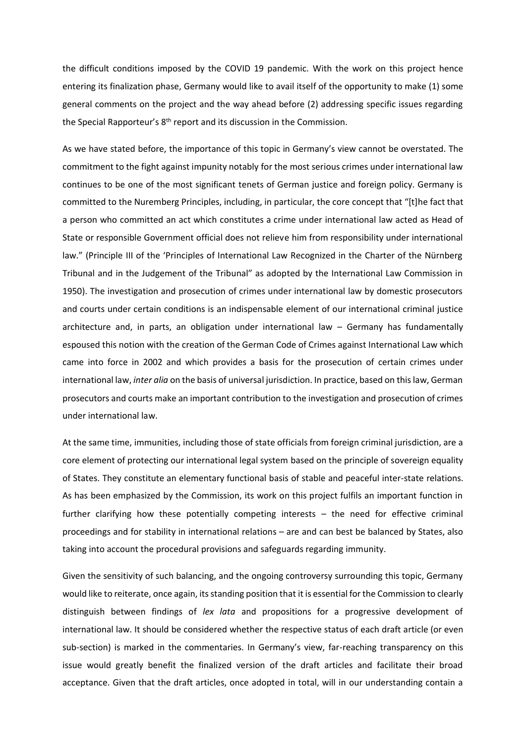the difficult conditions imposed by the COVID 19 pandemic. With the work on this project hence entering its finalization phase, Germany would like to avail itself of the opportunity to make (1) some general comments on the project and the way ahead before (2) addressing specific issues regarding the Special Rapporteur's 8<sup>th</sup> report and its discussion in the Commission.

As we have stated before, the importance of this topic in Germany's view cannot be overstated. The commitment to the fight against impunity notably for the most serious crimes under international law continues to be one of the most significant tenets of German justice and foreign policy. Germany is committed to the Nuremberg Principles, including, in particular, the core concept that "[t]he fact that a person who committed an act which constitutes a crime under international law acted as Head of State or responsible Government official does not relieve him from responsibility under international law." (Principle III of the 'Principles of International Law Recognized in the Charter of the Nürnberg Tribunal and in the Judgement of the Tribunal" as adopted by the International Law Commission in 1950). The investigation and prosecution of crimes under international law by domestic prosecutors and courts under certain conditions is an indispensable element of our international criminal justice architecture and, in parts, an obligation under international law – Germany has fundamentally espoused this notion with the creation of the German Code of Crimes against International Law which came into force in 2002 and which provides a basis for the prosecution of certain crimes under international law, *inter alia* on the basis of universal jurisdiction. In practice, based on this law, German prosecutors and courts make an important contribution to the investigation and prosecution of crimes under international law.

At the same time, immunities, including those of state officials from foreign criminal jurisdiction, are a core element of protecting our international legal system based on the principle of sovereign equality of States. They constitute an elementary functional basis of stable and peaceful inter-state relations. As has been emphasized by the Commission, its work on this project fulfils an important function in further clarifying how these potentially competing interests – the need for effective criminal proceedings and for stability in international relations – are and can best be balanced by States, also taking into account the procedural provisions and safeguards regarding immunity.

Given the sensitivity of such balancing, and the ongoing controversy surrounding this topic, Germany would like to reiterate, once again, its standing position that it is essential for the Commission to clearly distinguish between findings of *lex lata* and propositions for a progressive development of international law. It should be considered whether the respective status of each draft article (or even sub-section) is marked in the commentaries. In Germany's view, far-reaching transparency on this issue would greatly benefit the finalized version of the draft articles and facilitate their broad acceptance. Given that the draft articles, once adopted in total, will in our understanding contain a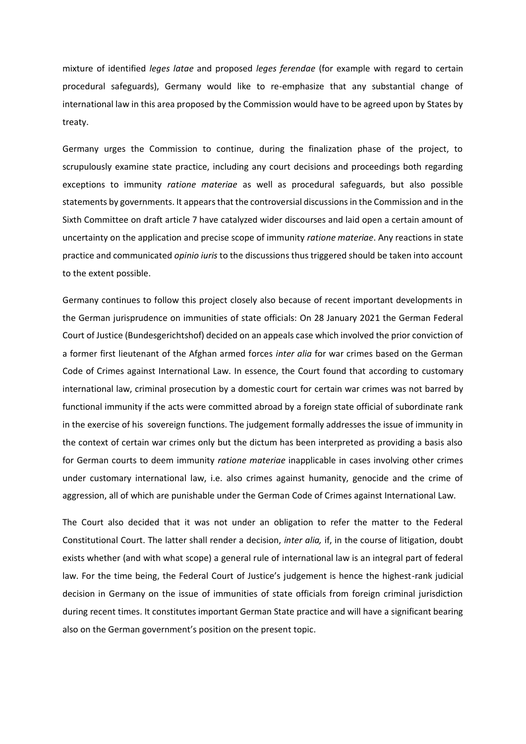mixture of identified *leges latae* and proposed *leges ferendae* (for example with regard to certain procedural safeguards), Germany would like to re-emphasize that any substantial change of international law in this area proposed by the Commission would have to be agreed upon by States by treaty.

Germany urges the Commission to continue, during the finalization phase of the project, to scrupulously examine state practice, including any court decisions and proceedings both regarding exceptions to immunity *ratione materiae* as well as procedural safeguards, but also possible statements by governments. It appears that the controversial discussions in the Commission and in the Sixth Committee on draft article 7 have catalyzed wider discourses and laid open a certain amount of uncertainty on the application and precise scope of immunity *ratione materiae*. Any reactions in state practice and communicated *opinio iuris* to the discussions thus triggered should be taken into account to the extent possible.

Germany continues to follow this project closely also because of recent important developments in the German jurisprudence on immunities of state officials: On 28 January 2021 the German Federal Court of Justice (Bundesgerichtshof) decided on an appeals case which involved the prior conviction of a former first lieutenant of the Afghan armed forces *inter alia* for war crimes based on the German Code of Crimes against International Law. In essence, the Court found that according to customary international law, criminal prosecution by a domestic court for certain war crimes was not barred by functional immunity if the acts were committed abroad by a foreign state official of subordinate rank in the exercise of his sovereign functions. The judgement formally addresses the issue of immunity in the context of certain war crimes only but the dictum has been interpreted as providing a basis also for German courts to deem immunity *ratione materiae* inapplicable in cases involving other crimes under customary international law, i.e. also crimes against humanity, genocide and the crime of aggression, all of which are punishable under the German Code of Crimes against International Law.

The Court also decided that it was not under an obligation to refer the matter to the Federal Constitutional Court. The latter shall render a decision, *inter alia,* if, in the course of litigation, doubt exists whether (and with what scope) a general rule of international law is an integral part of federal law. For the time being, the Federal Court of Justice's judgement is hence the highest-rank judicial decision in Germany on the issue of immunities of state officials from foreign criminal jurisdiction during recent times. It constitutes important German State practice and will have a significant bearing also on the German government's position on the present topic.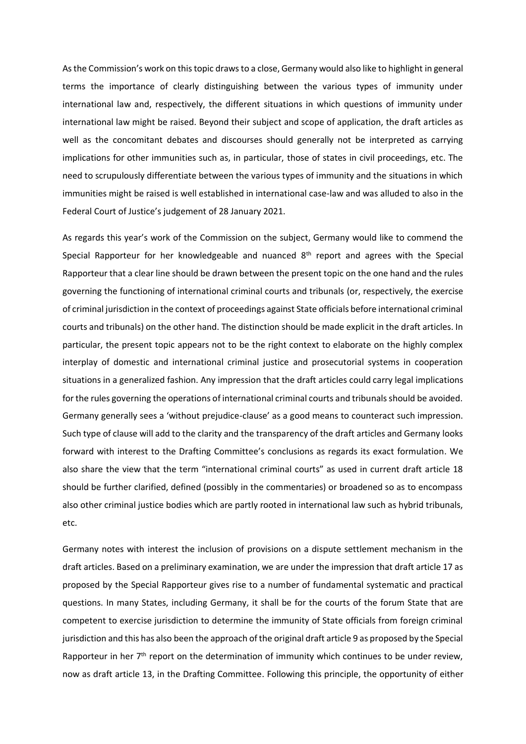As the Commission's work on this topic draws to a close, Germany would also like to highlight in general terms the importance of clearly distinguishing between the various types of immunity under international law and, respectively, the different situations in which questions of immunity under international law might be raised. Beyond their subject and scope of application, the draft articles as well as the concomitant debates and discourses should generally not be interpreted as carrying implications for other immunities such as, in particular, those of states in civil proceedings, etc. The need to scrupulously differentiate between the various types of immunity and the situations in which immunities might be raised is well established in international case-law and was alluded to also in the Federal Court of Justice's judgement of 28 January 2021.

As regards this year's work of the Commission on the subject, Germany would like to commend the Special Rapporteur for her knowledgeable and nuanced  $8<sup>th</sup>$  report and agrees with the Special Rapporteur that a clear line should be drawn between the present topic on the one hand and the rules governing the functioning of international criminal courts and tribunals (or, respectively, the exercise of criminal jurisdiction in the context of proceedings against State officials before international criminal courts and tribunals) on the other hand. The distinction should be made explicit in the draft articles. In particular, the present topic appears not to be the right context to elaborate on the highly complex interplay of domestic and international criminal justice and prosecutorial systems in cooperation situations in a generalized fashion. Any impression that the draft articles could carry legal implications for the rules governing the operations of international criminal courts and tribunals should be avoided. Germany generally sees a 'without prejudice-clause' as a good means to counteract such impression. Such type of clause will add to the clarity and the transparency of the draft articles and Germany looks forward with interest to the Drafting Committee's conclusions as regards its exact formulation. We also share the view that the term "international criminal courts" as used in current draft article 18 should be further clarified, defined (possibly in the commentaries) or broadened so as to encompass also other criminal justice bodies which are partly rooted in international law such as hybrid tribunals, etc.

Germany notes with interest the inclusion of provisions on a dispute settlement mechanism in the draft articles. Based on a preliminary examination, we are under the impression that draft article 17 as proposed by the Special Rapporteur gives rise to a number of fundamental systematic and practical questions. In many States, including Germany, it shall be for the courts of the forum State that are competent to exercise jurisdiction to determine the immunity of State officials from foreign criminal jurisdiction and this has also been the approach of the original draft article 9 as proposed by the Special Rapporteur in her  $7<sup>th</sup>$  report on the determination of immunity which continues to be under review, now as draft article 13, in the Drafting Committee. Following this principle, the opportunity of either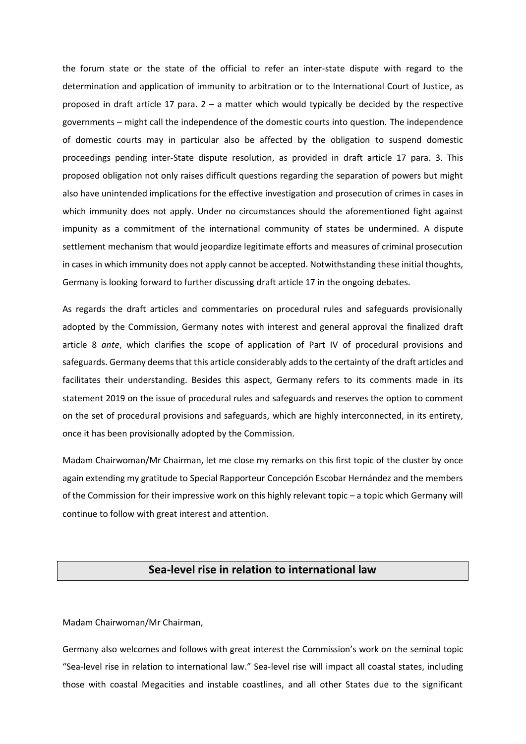the forum state or the state of the official to refer an inter-state dispute with regard to the determination and application of immunity to arbitration or to the International Court of Justice, as proposed in draft article 17 para.  $2 - a$  matter which would typically be decided by the respective governments – might call the independence of the domestic courts into question. The independence of domestic courts may in particular also be affected by the obligation to suspend domestic proceedings pending inter-State dispute resolution, as provided in draft article 17 para. 3. This proposed obligation not only raises difficult questions regarding the separation of powers but might also have unintended implications for the effective investigation and prosecution of crimes in cases in which immunity does not apply. Under no circumstances should the aforementioned fight against impunity as a commitment of the international community of states be undermined. A dispute settlement mechanism that would jeopardize legitimate efforts and measures of criminal prosecution in cases in which immunity does not apply cannot be accepted. Notwithstanding these initial thoughts, Germany is looking forward to further discussing draft article 17 in the ongoing debates.

As regards the draft articles and commentaries on procedural rules and safeguards provisionally adopted by the Commission, Germany notes with interest and general approval the finalized draft article 8 *ante*, which clarifies the scope of application of Part IV of procedural provisions and safeguards. Germany deems that this article considerably adds to the certainty of the draft articles and facilitates their understanding. Besides this aspect, Germany refers to its comments made in its statement 2019 on the issue of procedural rules and safeguards and reserves the option to comment on the set of procedural provisions and safeguards, which are highly interconnected, in its entirety, once it has been provisionally adopted by the Commission.

Madam Chairwoman/Mr Chairman, let me close my remarks on this first topic of the cluster by once again extending my gratitude to Special Rapporteur Concepción Escobar Hernández and the members of the Commission for their impressive work on this highly relevant topic – a topic which Germany will continue to follow with great interest and attention.

## **Sea-level rise in relation to international law**

Madam Chairwoman/Mr Chairman,

Germany also welcomes and follows with great interest the Commission's work on the seminal topic "Sea-level rise in relation to international law." Sea-level rise will impact all coastal states, including those with coastal Megacities and instable coastlines, and all other States due to the significant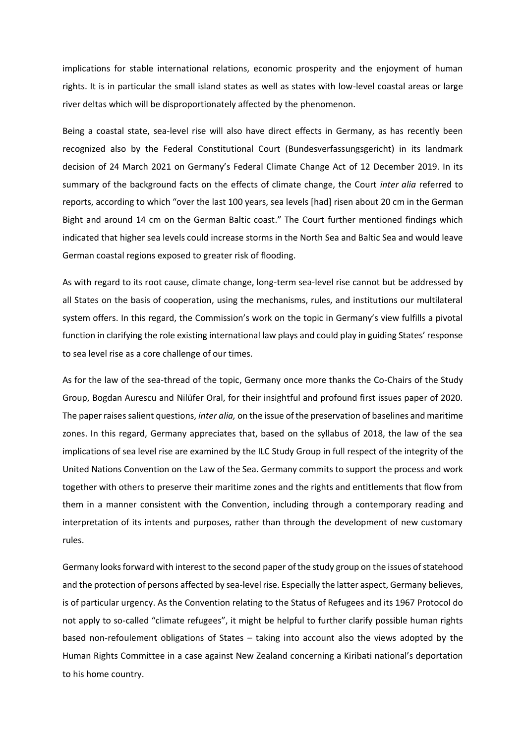implications for stable international relations, economic prosperity and the enjoyment of human rights. It is in particular the small island states as well as states with low-level coastal areas or large river deltas which will be disproportionately affected by the phenomenon.

Being a coastal state, sea-level rise will also have direct effects in Germany, as has recently been recognized also by the Federal Constitutional Court (Bundesverfassungsgericht) in its landmark decision of 24 March 2021 on Germany's Federal Climate Change Act of 12 December 2019. In its summary of the background facts on the effects of climate change, the Court *inter alia* referred to reports, according to which "over the last 100 years, sea levels [had] risen about 20 cm in the German Bight and around 14 cm on the German Baltic coast." The Court further mentioned findings which indicated that higher sea levels could increase storms in the North Sea and Baltic Sea and would leave German coastal regions exposed to greater risk of flooding.

As with regard to its root cause, climate change, long-term sea-level rise cannot but be addressed by all States on the basis of cooperation, using the mechanisms, rules, and institutions our multilateral system offers. In this regard, the Commission's work on the topic in Germany's view fulfills a pivotal function in clarifying the role existing international law plays and could play in guiding States' response to sea level rise as a core challenge of our times.

As for the law of the sea-thread of the topic, Germany once more thanks the Co-Chairs of the Study Group, Bogdan Aurescu and Nilüfer Oral, for their insightful and profound first issues paper of 2020. The paper raises salient questions, *inter alia,* on the issue of the preservation of baselines and maritime zones. In this regard, Germany appreciates that, based on the syllabus of 2018, the law of the sea implications of sea level rise are examined by the ILC Study Group in full respect of the integrity of the United Nations Convention on the Law of the Sea. Germany commits to support the process and work together with others to preserve their maritime zones and the rights and entitlements that flow from them in a manner consistent with the Convention, including through a contemporary reading and interpretation of its intents and purposes, rather than through the development of new customary rules.

Germany looks forward with interest to the second paper of the study group on the issues of statehood and the protection of persons affected by sea-level rise. Especially the latter aspect, Germany believes, is of particular urgency. As the Convention relating to the Status of Refugees and its 1967 Protocol do not apply to so-called "climate refugees", it might be helpful to further clarify possible human rights based non-refoulement obligations of States – taking into account also the views adopted by the Human Rights Committee in a case against New Zealand concerning a Kiribati national's deportation to his home country.